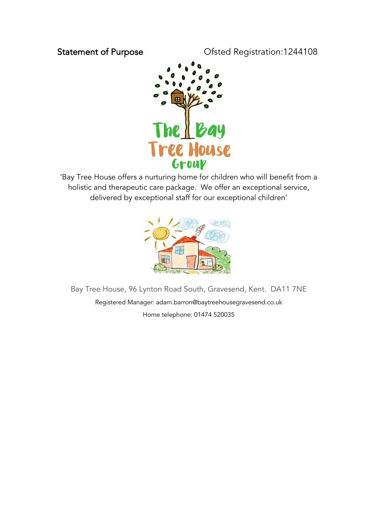## Statement of Purpose **Canadia** Ofsted Registration:1244108



'Bay Tree House offers a nurturing home for children who will benefit from a holistic and therapeutic care package. We offer an exceptional service, delivered by exceptional staff for our exceptional children'



Bay Tree House, 96 Lynton Road South, Gravesend, Kent. DA11 7NE Registered Manager: adam.barron@baytreehousegravesend.co.uk Home telephone: 01474 520035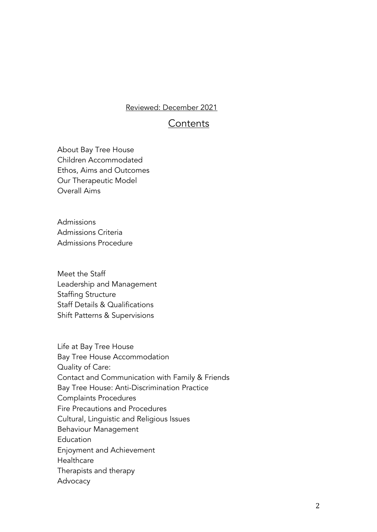#### Reviewed: December 2021

## **Contents**

About Bay Tree House Children Accommodated Ethos, Aims and Outcomes Our Therapeutic Model Overall Aims

Admissions Admissions Criteria Admissions Procedure

Meet the Staff Leadership and Management Staffing Structure Staff Details & Qualifications Shift Patterns & Supervisions

Life at Bay Tree House Bay Tree House Accommodation Quality of Care: Contact and Communication with Family & Friends Bay Tree House: Anti-Discrimination Practice Complaints Procedures Fire Precautions and Procedures Cultural, Linguistic and Religious Issues Behaviour Management **Education** Enjoyment and Achievement **Healthcare** Therapists and therapy Advocacy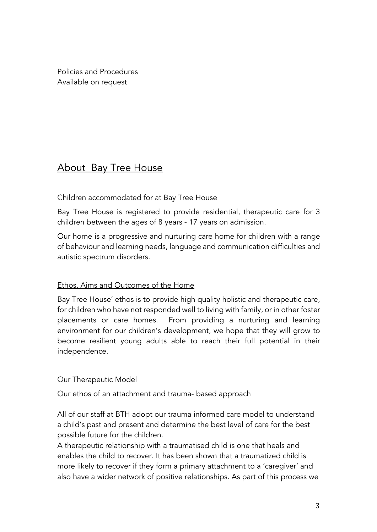Policies and Procedures Available on request

# About Bay Tree House

## Children accommodated for at Bay Tree House

Bay Tree House is registered to provide residential, therapeutic care for 3 children between the ages of 8 years - 17 years on admission.

Our home is a progressive and nurturing care home for children with a range of behaviour and learning needs, language and communication difficulties and autistic spectrum disorders.

## Ethos, Aims and Outcomes of the Home

Bay Tree House' ethos is to provide high quality holistic and therapeutic care, for children who have not responded well to living with family, or in other foster placements or care homes. From providing a nurturing and learning environment for our children's development, we hope that they will grow to become resilient young adults able to reach their full potential in their independence.

## **Our Therapeutic Model**

Our ethos of an attachment and trauma- based approach

All of our staff at BTH adopt our trauma informed care model to understand a child's past and present and determine the best level of care for the best possible future for the children.

A therapeutic relationship with a traumatised child is one that heals and enables the child to recover. It has been shown that a traumatized child is more likely to recover if they form a primary attachment to a 'caregiver' and also have a wider network of positive relationships. As part of this process we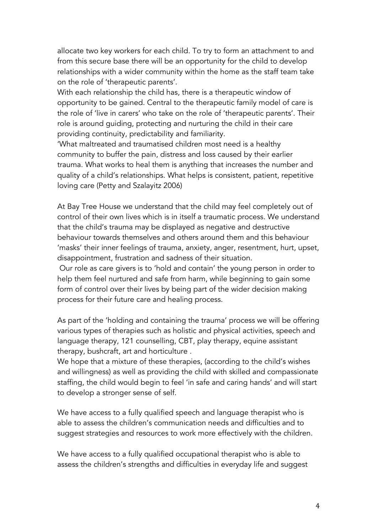allocate two key workers for each child. To try to form an attachment to and from this secure base there will be an opportunity for the child to develop relationships with a wider community within the home as the staff team take on the role of 'therapeutic parents'.

With each relationship the child has, there is a therapeutic window of opportunity to be gained. Central to the therapeutic family model of care is the role of 'live in carers' who take on the role of 'therapeutic parents'. Their role is around guiding, protecting and nurturing the child in their care providing continuity, predictability and familiarity.

'What maltreated and traumatised children most need is a healthy community to buffer the pain, distress and loss caused by their earlier trauma. What works to heal them is anything that increases the number and quality of a child's relationships. What helps is consistent, patient, repetitive loving care (Petty and Szalayitz 2006)

At Bay Tree House we understand that the child may feel completely out of control of their own lives which is in itself a traumatic process. We understand that the child's trauma may be displayed as negative and destructive behaviour towards themselves and others around them and this behaviour 'masks' their inner feelings of trauma, anxiety, anger, resentment, hurt, upset, disappointment, frustration and sadness of their situation.

Our role as care givers is to 'hold and contain' the young person in order to help them feel nurtured and safe from harm, while beginning to gain some form of control over their lives by being part of the wider decision making process for their future care and healing process.

As part of the 'holding and containing the trauma' process we will be offering various types of therapies such as holistic and physical activities, speech and language therapy, 121 counselling, CBT, play therapy, equine assistant therapy, bushcraft, art and horticulture .

We hope that a mixture of these therapies, (according to the child's wishes and willingness) as well as providing the child with skilled and compassionate staffing, the child would begin to feel 'in safe and caring hands' and will start to develop a stronger sense of self.

We have access to a fully qualified speech and language therapist who is able to assess the children's communication needs and difficulties and to suggest strategies and resources to work more effectively with the children.

We have access to a fully qualified occupational therapist who is able to assess the children's strengths and difficulties in everyday life and suggest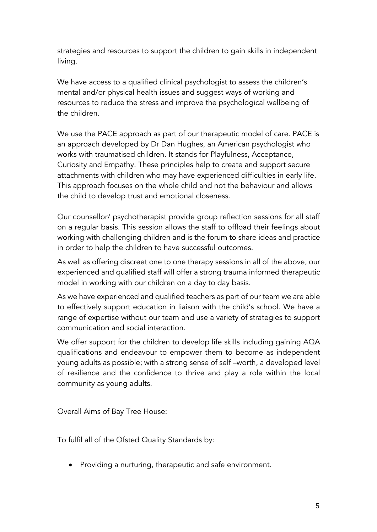strategies and resources to support the children to gain skills in independent living.

We have access to a qualified clinical psychologist to assess the children's mental and/or physical health issues and suggest ways of working and resources to reduce the stress and improve the psychological wellbeing of the children.

We use the PACE approach as part of our therapeutic model of care. PACE is an approach developed by Dr Dan Hughes, an American psychologist who works with traumatised children. It stands for Playfulness, Acceptance, Curiosity and Empathy. These principles help to create and support secure attachments with children who may have experienced difficulties in early life. This approach focuses on the whole child and not the behaviour and allows the child to develop trust and emotional closeness.

Our counsellor/ psychotherapist provide group reflection sessions for all staff on a regular basis. This session allows the staff to offload their feelings about working with challenging children and is the forum to share ideas and practice in order to help the children to have successful outcomes.

As well as offering discreet one to one therapy sessions in all of the above, our experienced and qualified staff will offer a strong trauma informed therapeutic model in working with our children on a day to day basis.

As we have experienced and qualified teachers as part of our team we are able to effectively support education in liaison with the child's school. We have a range of expertise without our team and use a variety of strategies to support communication and social interaction.

We offer support for the children to develop life skills including gaining AQA qualifications and endeavour to empower them to become as independent young adults as possible; with a strong sense of self –worth, a developed level of resilience and the confidence to thrive and play a role within the local community as young adults.

## Overall Aims of Bay Tree House:

To fulfil all of the Ofsted Quality Standards by:

• Providing a nurturing, therapeutic and safe environment.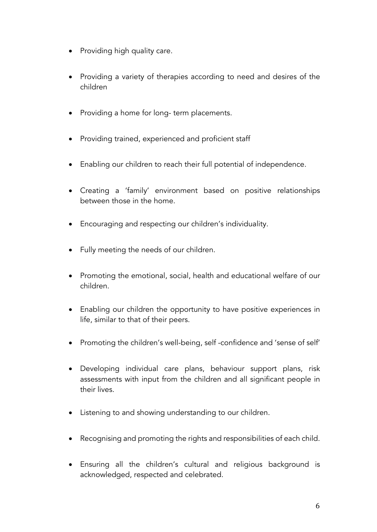- Providing high quality care.
- Providing a variety of therapies according to need and desires of the children
- Providing a home for long- term placements.
- Providing trained, experienced and proficient staff
- Enabling our children to reach their full potential of independence.
- Creating a 'family' environment based on positive relationships between those in the home.
- Encouraging and respecting our children's individuality.
- Fully meeting the needs of our children.
- Promoting the emotional, social, health and educational welfare of our children.
- Enabling our children the opportunity to have positive experiences in life, similar to that of their peers.
- Promoting the children's well-being, self -confidence and 'sense of self'
- Developing individual care plans, behaviour support plans, risk assessments with input from the children and all significant people in their lives.
- Listening to and showing understanding to our children.
- Recognising and promoting the rights and responsibilities of each child.
- Ensuring all the children's cultural and religious background is acknowledged, respected and celebrated.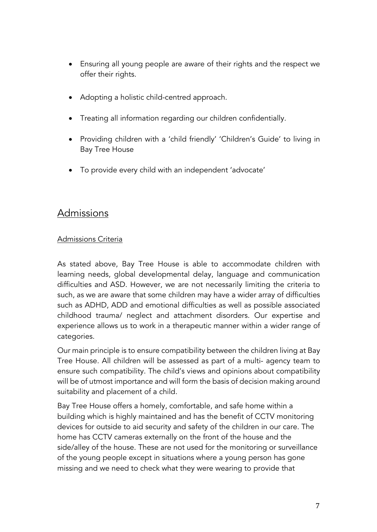- Ensuring all young people are aware of their rights and the respect we offer their rights.
- Adopting a holistic child-centred approach.
- Treating all information regarding our children confidentially.
- Providing children with a 'child friendly' 'Children's Guide' to living in Bay Tree House
- To provide every child with an independent 'advocate'

# Admissions

## Admissions Criteria

As stated above, Bay Tree House is able to accommodate children with learning needs, global developmental delay, language and communication difficulties and ASD. However, we are not necessarily limiting the criteria to such, as we are aware that some children may have a wider array of difficulties such as ADHD, ADD and emotional difficulties as well as possible associated childhood trauma/ neglect and attachment disorders. Our expertise and experience allows us to work in a therapeutic manner within a wider range of categories.

Our main principle is to ensure compatibility between the children living at Bay Tree House. All children will be assessed as part of a multi- agency team to ensure such compatibility. The child's views and opinions about compatibility will be of utmost importance and will form the basis of decision making around suitability and placement of a child.

Bay Tree House offers a homely, comfortable, and safe home within a building which is highly maintained and has the benefit of CCTV monitoring devices for outside to aid security and safety of the children in our care. The home has CCTV cameras externally on the front of the house and the side/alley of the house. These are not used for the monitoring or surveillance of the young people except in situations where a young person has gone missing and we need to check what they were wearing to provide that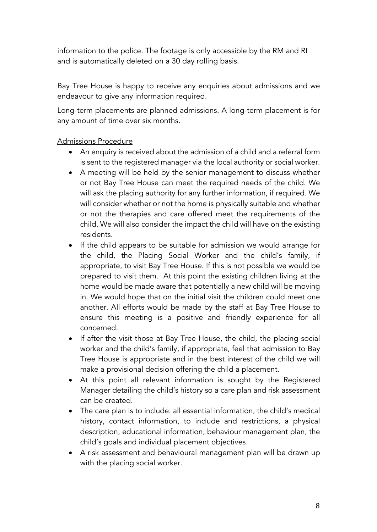information to the police. The footage is only accessible by the RM and RI and is automatically deleted on a 30 day rolling basis.

Bay Tree House is happy to receive any enquiries about admissions and we endeavour to give any information required.

Long-term placements are planned admissions. A long-term placement is for any amount of time over six months.

## Admissions Procedure

- An enquiry is received about the admission of a child and a referral form is sent to the registered manager via the local authority or social worker.
- A meeting will be held by the senior management to discuss whether or not Bay Tree House can meet the required needs of the child. We will ask the placing authority for any further information, if required. We will consider whether or not the home is physically suitable and whether or not the therapies and care offered meet the requirements of the child. We will also consider the impact the child will have on the existing residents.
- If the child appears to be suitable for admission we would arrange for the child, the Placing Social Worker and the child's family, if appropriate, to visit Bay Tree House. If this is not possible we would be prepared to visit them. At this point the existing children living at the home would be made aware that potentially a new child will be moving in. We would hope that on the initial visit the children could meet one another. All efforts would be made by the staff at Bay Tree House to ensure this meeting is a positive and friendly experience for all concerned.
- If after the visit those at Bay Tree House, the child, the placing social worker and the child's family, if appropriate, feel that admission to Bay Tree House is appropriate and in the best interest of the child we will make a provisional decision offering the child a placement.
- At this point all relevant information is sought by the Registered Manager detailing the child's history so a care plan and risk assessment can be created.
- The care plan is to include: all essential information, the child's medical history, contact information, to include and restrictions, a physical description, educational information, behaviour management plan, the child's goals and individual placement objectives.
- A risk assessment and behavioural management plan will be drawn up with the placing social worker.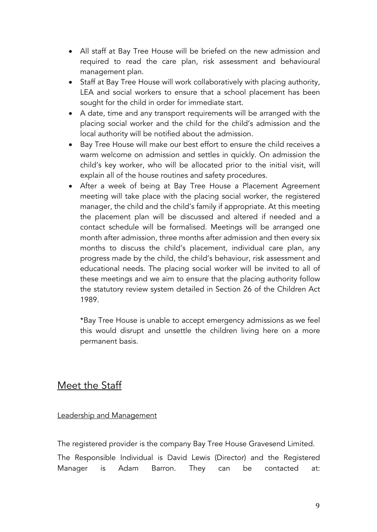- All staff at Bay Tree House will be briefed on the new admission and required to read the care plan, risk assessment and behavioural management plan.
- Staff at Bay Tree House will work collaboratively with placing authority, LEA and social workers to ensure that a school placement has been sought for the child in order for immediate start.
- A date, time and any transport requirements will be arranged with the placing social worker and the child for the child's admission and the local authority will be notified about the admission.
- Bay Tree House will make our best effort to ensure the child receives a warm welcome on admission and settles in quickly. On admission the child's key worker, who will be allocated prior to the initial visit, will explain all of the house routines and safety procedures.
- After a week of being at Bay Tree House a Placement Agreement meeting will take place with the placing social worker, the registered manager, the child and the child's family if appropriate. At this meeting the placement plan will be discussed and altered if needed and a contact schedule will be formalised. Meetings will be arranged one month after admission, three months after admission and then every six months to discuss the child's placement, individual care plan, any progress made by the child, the child's behaviour, risk assessment and educational needs. The placing social worker will be invited to all of these meetings and we aim to ensure that the placing authority follow the statutory review system detailed in Section 26 of the Children Act 1989.

\*Bay Tree House is unable to accept emergency admissions as we feel this would disrupt and unsettle the children living here on a more permanent basis.

# Meet the Staff

## Leadership and Management

The registered provider is the company Bay Tree House Gravesend Limited.

The Responsible Individual is David Lewis (Director) and the Registered Manager is Adam Barron. They can be contacted at: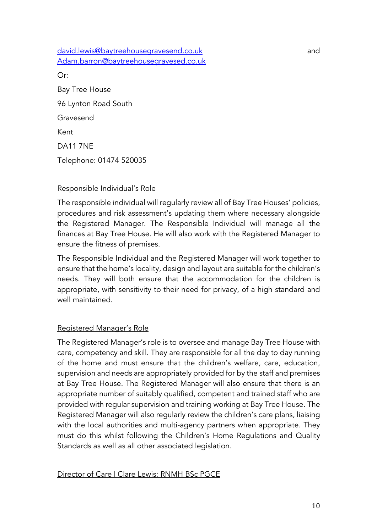david.lewis@baytreehousegravesend.co.uk and and Adam.barron@baytreehousegravesed.co.uk Or: Bay Tree House

96 Lynton Road South

Gravesend

Kent

DA11 7NE

Telephone: 01474 520035

## Responsible Individual's Role

The responsible individual will regularly review all of Bay Tree Houses' policies, procedures and risk assessment's updating them where necessary alongside the Registered Manager. The Responsible Individual will manage all the finances at Bay Tree House. He will also work with the Registered Manager to ensure the fitness of premises.

The Responsible Individual and the Registered Manager will work together to ensure that the home's locality, design and layout are suitable for the children's needs. They will both ensure that the accommodation for the children is appropriate, with sensitivity to their need for privacy, of a high standard and well maintained.

## Registered Manager's Role

The Registered Manager's role is to oversee and manage Bay Tree House with care, competency and skill. They are responsible for all the day to day running of the home and must ensure that the children's welfare, care, education, supervision and needs are appropriately provided for by the staff and premises at Bay Tree House. The Registered Manager will also ensure that there is an appropriate number of suitably qualified, competent and trained staff who are provided with regular supervision and training working at Bay Tree House. The Registered Manager will also regularly review the children's care plans, liaising with the local authorities and multi-agency partners when appropriate. They must do this whilst following the Children's Home Regulations and Quality Standards as well as all other associated legislation.

## Director of Care | Clare Lewis: RNMH BSc PGCE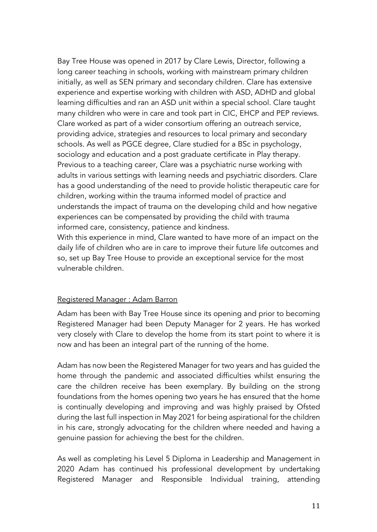Bay Tree House was opened in 2017 by Clare Lewis, Director, following a long career teaching in schools, working with mainstream primary children initially, as well as SEN primary and secondary children. Clare has extensive experience and expertise working with children with ASD, ADHD and global learning difficulties and ran an ASD unit within a special school. Clare taught many children who were in care and took part in CIC, EHCP and PEP reviews. Clare worked as part of a wider consortium offering an outreach service, providing advice, strategies and resources to local primary and secondary schools. As well as PGCE degree, Clare studied for a BSc in psychology, sociology and education and a post graduate certificate in Play therapy. Previous to a teaching career, Clare was a psychiatric nurse working with adults in various settings with learning needs and psychiatric disorders. Clare has a good understanding of the need to provide holistic therapeutic care for children, working within the trauma informed model of practice and understands the impact of trauma on the developing child and how negative experiences can be compensated by providing the child with trauma informed care, consistency, patience and kindness.

With this experience in mind, Clare wanted to have more of an impact on the daily life of children who are in care to improve their future life outcomes and so, set up Bay Tree House to provide an exceptional service for the most vulnerable children.

#### Registered Manager : Adam Barron

Adam has been with Bay Tree House since its opening and prior to becoming Registered Manager had been Deputy Manager for 2 years. He has worked very closely with Clare to develop the home from its start point to where it is now and has been an integral part of the running of the home.

Adam has now been the Registered Manager for two years and has guided the home through the pandemic and associated difficulties whilst ensuring the care the children receive has been exemplary. By building on the strong foundations from the homes opening two years he has ensured that the home is continually developing and improving and was highly praised by Ofsted during the last full inspection in May 2021 for being aspirational for the children in his care, strongly advocating for the children where needed and having a genuine passion for achieving the best for the children.

As well as completing his Level 5 Diploma in Leadership and Management in 2020 Adam has continued his professional development by undertaking Registered Manager and Responsible Individual training, attending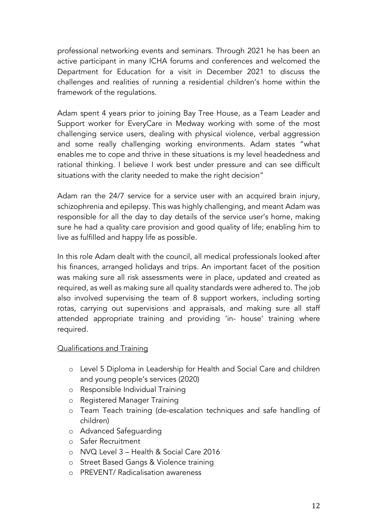professional networking events and seminars. Through 2021 he has been an active participant in many ICHA forums and conferences and welcomed the Department for Education for a visit in December 2021 to discuss the challenges and realities of running a residential children's home within the framework of the regulations.

Adam spent 4 years prior to joining Bay Tree House, as a Team Leader and Support worker for EveryCare in Medway working with some of the most challenging service users, dealing with physical violence, verbal aggression and some really challenging working environments. Adam states "what enables me to cope and thrive in these situations is my level headedness and rational thinking. I believe I work best under pressure and can see difficult situations with the clarity needed to make the right decision"

Adam ran the 24/7 service for a service user with an acquired brain injury, schizophrenia and epilepsy. This was highly challenging, and meant Adam was responsible for all the day to day details of the service user's home, making sure he had a quality care provision and good quality of life; enabling him to live as fulfilled and happy life as possible.

In this role Adam dealt with the council, all medical professionals looked after his finances, arranged holidays and trips. An important facet of the position was making sure all risk assessments were in place, updated and created as required, as well as making sure all quality standards were adhered to. The job also involved supervising the team of 8 support workers, including sorting rotas, carrying out supervisions and appraisals, and making sure all staff attended appropriate training and providing 'in- house' training where required.

## Qualifications and Training

- o Level 5 Diploma in Leadership for Health and Social Care and children and young people's services (2020)
- o Responsible Individual Training
- o Registered Manager Training
- o Team Teach training (de-escalation techniques and safe handling of children)
- o Advanced Safeguarding
- o Safer Recruitment
- o NVQ Level 3 Health & Social Care 2016
- o Street Based Gangs & Violence training
- o PREVENT/ Radicalisation awareness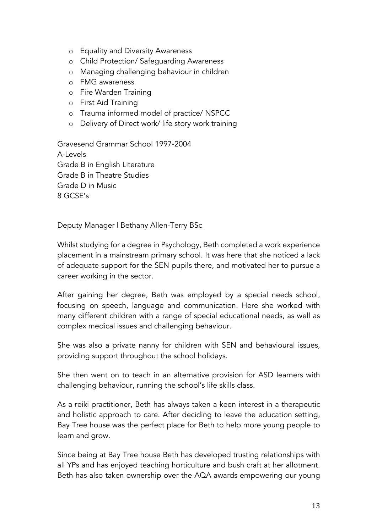- o Equality and Diversity Awareness
- o Child Protection/ Safeguarding Awareness
- o Managing challenging behaviour in children
- o FMG awareness
- o Fire Warden Training
- o First Aid Training
- o Trauma informed model of practice/ NSPCC
- o Delivery of Direct work/ life story work training

Gravesend Grammar School 1997-2004 A-Levels Grade B in English Literature Grade B in Theatre Studies Grade D in Music 8 GCSE's

#### Deputy Manager | Bethany Allen-Terry BSc

Whilst studying for a degree in Psychology, Beth completed a work experience placement in a mainstream primary school. It was here that she noticed a lack of adequate support for the SEN pupils there, and motivated her to pursue a career working in the sector.

After gaining her degree, Beth was employed by a special needs school, focusing on speech, language and communication. Here she worked with many different children with a range of special educational needs, as well as complex medical issues and challenging behaviour.

She was also a private nanny for children with SEN and behavioural issues, providing support throughout the school holidays.

She then went on to teach in an alternative provision for ASD learners with challenging behaviour, running the school's life skills class.

As a reiki practitioner, Beth has always taken a keen interest in a therapeutic and holistic approach to care. After deciding to leave the education setting, Bay Tree house was the perfect place for Beth to help more young people to learn and grow.

Since being at Bay Tree house Beth has developed trusting relationships with all YPs and has enjoyed teaching horticulture and bush craft at her allotment. Beth has also taken ownership over the AQA awards empowering our young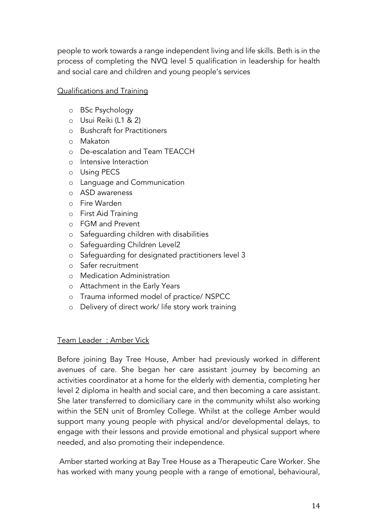people to work towards a range independent living and life skills. Beth is in the process of completing the NVQ level 5 qualification in leadership for health and social care and children and young people's services

## Qualifications and Training

- o BSc Psychology
- o Usui Reiki (L1 & 2)
- o Bushcraft for Practitioners
- o Makaton
- o De-escalation and Team TEACCH
- o Intensive Interaction
- o Using PECS
- o Language and Communication
- o ASD awareness
- o Fire Warden
- o First Aid Training
- o FGM and Prevent
- o Safeguarding children with disabilities
- o Safeguarding Children Level2
- o Safeguarding for designated practitioners level 3
- o Safer recruitment
- o Medication Administration
- o Attachment in the Early Years
- o Trauma informed model of practice/ NSPCC
- o Delivery of direct work/ life story work training

## Team Leader : Amber Vick

Before joining Bay Tree House, Amber had previously worked in different avenues of care. She began her care assistant journey by becoming an activities coordinator at a home for the elderly with dementia, completing her level 2 diploma in health and social care, and then becoming a care assistant. She later transferred to domiciliary care in the community whilst also working within the SEN unit of Bromley College. Whilst at the college Amber would support many young people with physical and/or developmental delays, to engage with their lessons and provide emotional and physical support where needed, and also promoting their independence.

Amber started working at Bay Tree House as a Therapeutic Care Worker. She has worked with many young people with a range of emotional, behavioural,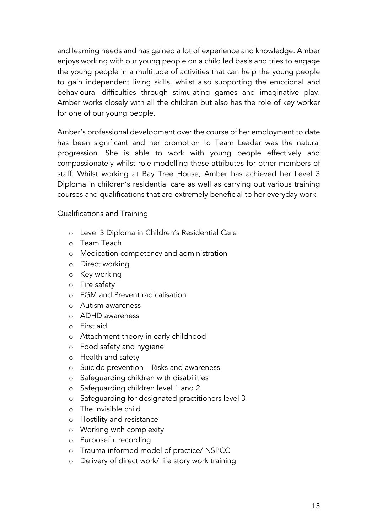and learning needs and has gained a lot of experience and knowledge. Amber enjoys working with our young people on a child led basis and tries to engage the young people in a multitude of activities that can help the young people to gain independent living skills, whilst also supporting the emotional and behavioural difficulties through stimulating games and imaginative play. Amber works closely with all the children but also has the role of key worker for one of our young people.

Amber's professional development over the course of her employment to date has been significant and her promotion to Team Leader was the natural progression. She is able to work with young people effectively and compassionately whilst role modelling these attributes for other members of staff. Whilst working at Bay Tree House, Amber has achieved her Level 3 Diploma in children's residential care as well as carrying out various training courses and qualifications that are extremely beneficial to her everyday work.

#### Qualifications and Training

- o Level 3 Diploma in Children's Residential Care
- o Team Teach
- o Medication competency and administration
- o Direct working
- o Key working
- o Fire safety
- o FGM and Prevent radicalisation
- o Autism awareness
- o ADHD awareness
- o First aid
- o Attachment theory in early childhood
- o Food safety and hygiene
- o Health and safety
- o Suicide prevention Risks and awareness
- o Safeguarding children with disabilities
- o Safeguarding children level 1 and 2
- o Safeguarding for designated practitioners level 3
- o The invisible child
- o Hostility and resistance
- o Working with complexity
- o Purposeful recording
- o Trauma informed model of practice/ NSPCC
- o Delivery of direct work/ life story work training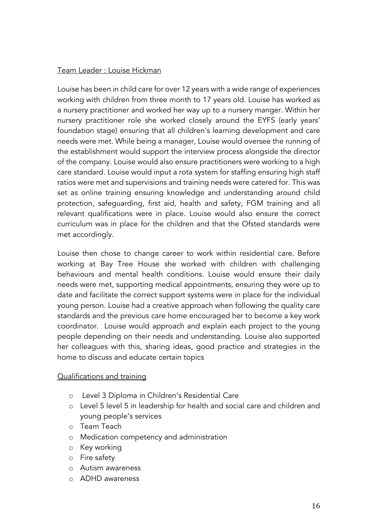## Team Leader : Louise Hickman

Louise has been in child care for over 12 years with a wide range of experiences working with children from three month to 17 years old. Louise has worked as a nursery practitioner and worked her way up to a nursery manger. Within her nursery practitioner role she worked closely around the EYFS (early years' foundation stage) ensuring that all children's learning development and care needs were met. While being a manager, Louise would oversee the running of the establishment would support the interview process alongside the director of the company. Louise would also ensure practitioners were working to a high care standard. Louise would input a rota system for staffing ensuring high staff ratios were met and supervisions and training needs were catered for. This was set as online training ensuring knowledge and understanding around child protection, safeguarding, first aid, health and safety, FGM training and all relevant qualifications were in place. Louise would also ensure the correct curriculum was in place for the children and that the Ofsted standards were met accordingly.

Louise then chose to change career to work within residential care. Before working at Bay Tree House she worked with children with challenging behaviours and mental health conditions. Louise would ensure their daily needs were met, supporting medical appointments, ensuring they were up to date and facilitate the correct support systems were in place for the individual young person. Louise had a creative approach when following the quality care standards and the previous care home encouraged her to become a key work coordinator. Louise would approach and explain each project to the young people depending on their needs and understanding. Louise also supported her colleagues with this, sharing ideas, good practice and strategies in the home to discuss and educate certain topics

## Qualifications and training

- o Level 3 Diploma in Children's Residential Care
- o Level 5 level 5 in leadership for health and social care and children and young people's services
- o Team Teach
- o Medication competency and administration
- o Key working
- o Fire safety
- o Autism awareness
- o ADHD awareness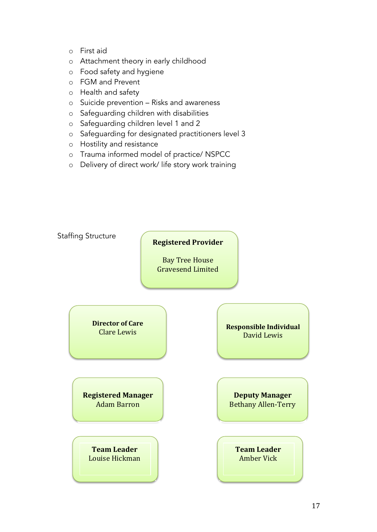- o First aid
- o Attachment theory in early childhood
- o Food safety and hygiene
- o FGM and Prevent
- o Health and safety
- o Suicide prevention Risks and awareness
- o Safeguarding children with disabilities
- o Safeguarding children level 1 and 2
- o Safeguarding for designated practitioners level 3
- o Hostility and resistance
- o Trauma informed model of practice/ NSPCC
- o Delivery of direct work/ life story work training

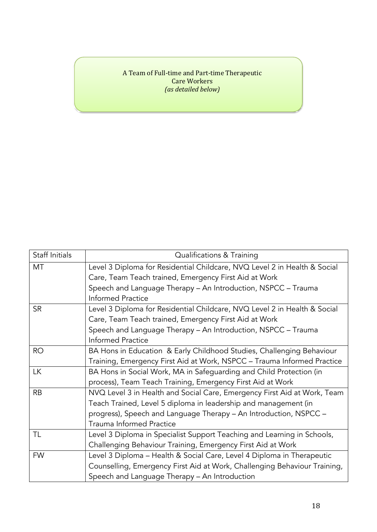#### A Team of Full-time and Part-time Therapeutic Care Workers *(as detailed below)*

| Staff Initials | Qualifications & Training                                                 |  |
|----------------|---------------------------------------------------------------------------|--|
| MT             | Level 3 Diploma for Residential Childcare, NVQ Level 2 in Health & Social |  |
|                | Care, Team Teach trained, Emergency First Aid at Work                     |  |
|                | Speech and Language Therapy - An Introduction, NSPCC - Trauma             |  |
|                | <b>Informed Practice</b>                                                  |  |
| <b>SR</b>      | Level 3 Diploma for Residential Childcare, NVQ Level 2 in Health & Social |  |
|                | Care, Team Teach trained, Emergency First Aid at Work                     |  |
|                | Speech and Language Therapy - An Introduction, NSPCC - Trauma             |  |
|                | <b>Informed Practice</b>                                                  |  |
| RO             | BA Hons in Education & Early Childhood Studies, Challenging Behaviour     |  |
|                | Training, Emergency First Aid at Work, NSPCC - Trauma Informed Practice   |  |
| <b>LK</b>      | BA Hons in Social Work, MA in Safeguarding and Child Protection (in       |  |
|                | process), Team Teach Training, Emergency First Aid at Work                |  |
| <b>RB</b>      | NVQ Level 3 in Health and Social Care, Emergency First Aid at Work, Team  |  |
|                | Teach Trained, Level 5 diploma in leadership and management (in           |  |
|                | progress), Speech and Language Therapy - An Introduction, NSPCC -         |  |
|                | <b>Trauma Informed Practice</b>                                           |  |
| TL             | Level 3 Diploma in Specialist Support Teaching and Learning in Schools,   |  |
|                | Challenging Behaviour Training, Emergency First Aid at Work               |  |
| <b>FW</b>      | Level 3 Diploma - Health & Social Care, Level 4 Diploma in Therapeutic    |  |
|                | Counselling, Emergency First Aid at Work, Challenging Behaviour Training, |  |
|                | Speech and Language Therapy - An Introduction                             |  |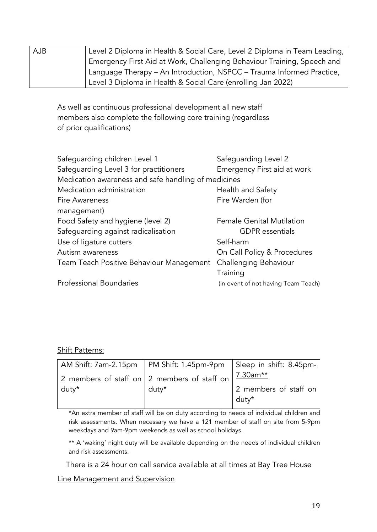| <b>AJB</b> | Level 2 Diploma in Health & Social Care, Level 2 Diploma in Team Leading, |
|------------|---------------------------------------------------------------------------|
|            | Emergency First Aid at Work, Challenging Behaviour Training, Speech and   |
|            | Language Therapy – An Introduction, NSPCC – Trauma Informed Practice,     |
|            | Level 3 Diploma in Health & Social Care (enrolling Jan 2022)              |

As well as continuous professional development all new staff members also complete the following core training (regardless of prior qualifications)

| Safeguarding children Level 1                       | Safeguarding Level 2                |
|-----------------------------------------------------|-------------------------------------|
| Safeguarding Level 3 for practitioners              | Emergency First aid at work         |
| Medication awareness and safe handling of medicines |                                     |
| Medication administration                           | Health and Safety                   |
| <b>Fire Awareness</b>                               | Fire Warden (for                    |
| management)                                         |                                     |
| Food Safety and hygiene (level 2)                   | <b>Female Genital Mutilation</b>    |
| Safeguarding against radicalisation                 | <b>GDPR</b> essentials              |
| Use of ligature cutters                             | Self-harm                           |
| Autism awareness                                    | On Call Policy & Procedures         |
| Team Teach Positive Behaviour Management            | Challenging Behaviour               |
|                                                     | Training                            |
| <b>Professional Boundaries</b>                      | (in event of not having Team Teach) |
|                                                     |                                     |

#### Shift Patterns:

|       | <u>AM Shift: 7am-2.15pm   PM Shift: 1.45pm-9pm   Sleep in shift: 8.45pm-</u> |                       |
|-------|------------------------------------------------------------------------------|-----------------------|
|       | 2 members of staff on $ 2$ members of staff on $ 7.30$ am**                  |                       |
| duty* | $d$ utv $*$                                                                  | 2 members of staff on |
|       |                                                                              | duty*                 |

\*An extra member of staff will be on duty according to needs of individual children and risk assessments. When necessary we have a 121 member of staff on site from 5-9pm weekdays and 9am-9pm weekends as well as school holidays.

\*\* A 'waking' night duty will be available depending on the needs of individual children and risk assessments.

There is a 24 hour on call service available at all times at Bay Tree House

#### Line Management and Supervision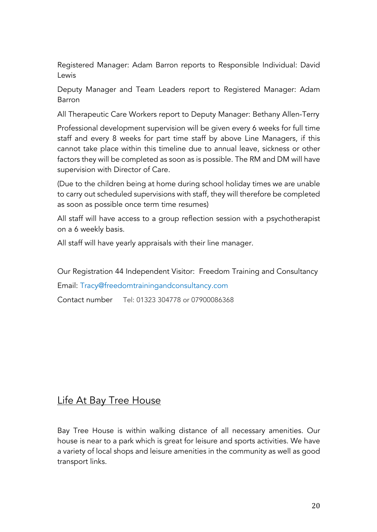Registered Manager: Adam Barron reports to Responsible Individual: David Lewis

Deputy Manager and Team Leaders report to Registered Manager: Adam Barron

All Therapeutic Care Workers report to Deputy Manager: Bethany Allen-Terry

Professional development supervision will be given every 6 weeks for full time staff and every 8 weeks for part time staff by above Line Managers, if this cannot take place within this timeline due to annual leave, sickness or other factors they will be completed as soon as is possible. The RM and DM will have supervision with Director of Care.

(Due to the children being at home during school holiday times we are unable to carry out scheduled supervisions with staff, they will therefore be completed as soon as possible once term time resumes)

All staff will have access to a group reflection session with a psychotherapist on a 6 weekly basis.

All staff will have yearly appraisals with their line manager.

Our Registration 44 Independent Visitor: Freedom Training and Consultancy

Email: Tracy@freedomtrainingandconsultancy.com

Contact number Tel: 01323 304778 or 07900086368

## Life At Bay Tree House

Bay Tree House is within walking distance of all necessary amenities. Our house is near to a park which is great for leisure and sports activities. We have a variety of local shops and leisure amenities in the community as well as good transport links.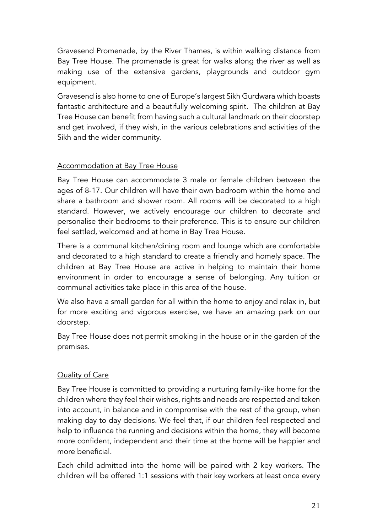Gravesend Promenade, by the River Thames, is within walking distance from Bay Tree House. The promenade is great for walks along the river as well as making use of the extensive gardens, playgrounds and outdoor gym equipment.

Gravesend is also home to one of Europe's largest Sikh Gurdwara which boasts fantastic architecture and a beautifully welcoming spirit. The children at Bay Tree House can benefit from having such a cultural landmark on their doorstep and get involved, if they wish, in the various celebrations and activities of the Sikh and the wider community.

## Accommodation at Bay Tree House

Bay Tree House can accommodate 3 male or female children between the ages of 8-17. Our children will have their own bedroom within the home and share a bathroom and shower room. All rooms will be decorated to a high standard. However, we actively encourage our children to decorate and personalise their bedrooms to their preference. This is to ensure our children feel settled, welcomed and at home in Bay Tree House.

There is a communal kitchen/dining room and lounge which are comfortable and decorated to a high standard to create a friendly and homely space. The children at Bay Tree House are active in helping to maintain their home environment in order to encourage a sense of belonging. Any tuition or communal activities take place in this area of the house.

We also have a small garden for all within the home to enjoy and relax in, but for more exciting and vigorous exercise, we have an amazing park on our doorstep.

Bay Tree House does not permit smoking in the house or in the garden of the premises.

## Quality of Care

Bay Tree House is committed to providing a nurturing family-like home for the children where they feel their wishes, rights and needs are respected and taken into account, in balance and in compromise with the rest of the group, when making day to day decisions. We feel that, if our children feel respected and help to influence the running and decisions within the home, they will become more confident, independent and their time at the home will be happier and more beneficial.

Each child admitted into the home will be paired with 2 key workers. The children will be offered 1:1 sessions with their key workers at least once every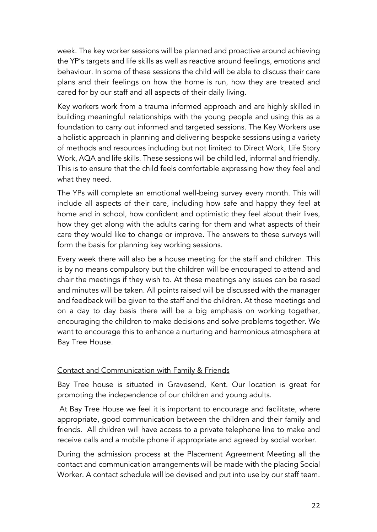week. The key worker sessions will be planned and proactive around achieving the YP's targets and life skills as well as reactive around feelings, emotions and behaviour. In some of these sessions the child will be able to discuss their care plans and their feelings on how the home is run, how they are treated and cared for by our staff and all aspects of their daily living.

Key workers work from a trauma informed approach and are highly skilled in building meaningful relationships with the young people and using this as a foundation to carry out informed and targeted sessions. The Key Workers use a holistic approach in planning and delivering bespoke sessions using a variety of methods and resources including but not limited to Direct Work, Life Story Work, AQA and life skills. These sessions will be child led, informal and friendly. This is to ensure that the child feels comfortable expressing how they feel and what they need.

The YPs will complete an emotional well-being survey every month. This will include all aspects of their care, including how safe and happy they feel at home and in school, how confident and optimistic they feel about their lives, how they get along with the adults caring for them and what aspects of their care they would like to change or improve. The answers to these surveys will form the basis for planning key working sessions.

Every week there will also be a house meeting for the staff and children. This is by no means compulsory but the children will be encouraged to attend and chair the meetings if they wish to. At these meetings any issues can be raised and minutes will be taken. All points raised will be discussed with the manager and feedback will be given to the staff and the children. At these meetings and on a day to day basis there will be a big emphasis on working together, encouraging the children to make decisions and solve problems together. We want to encourage this to enhance a nurturing and harmonious atmosphere at Bay Tree House.

## Contact and Communication with Family & Friends

Bay Tree house is situated in Gravesend, Kent. Our location is great for promoting the independence of our children and young adults.

At Bay Tree House we feel it is important to encourage and facilitate, where appropriate, good communication between the children and their family and friends. All children will have access to a private telephone line to make and receive calls and a mobile phone if appropriate and agreed by social worker.

During the admission process at the Placement Agreement Meeting all the contact and communication arrangements will be made with the placing Social Worker. A contact schedule will be devised and put into use by our staff team.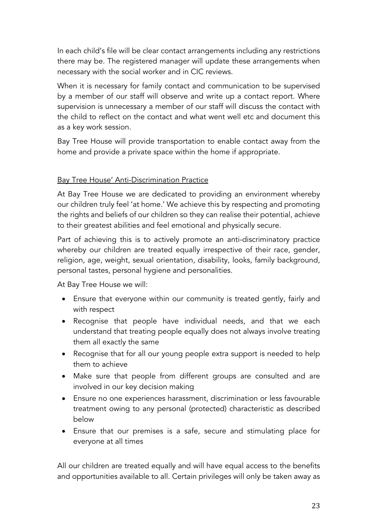In each child's file will be clear contact arrangements including any restrictions there may be. The registered manager will update these arrangements when necessary with the social worker and in CIC reviews.

When it is necessary for family contact and communication to be supervised by a member of our staff will observe and write up a contact report. Where supervision is unnecessary a member of our staff will discuss the contact with the child to reflect on the contact and what went well etc and document this as a key work session.

Bay Tree House will provide transportation to enable contact away from the home and provide a private space within the home if appropriate.

## Bay Tree House' Anti-Discrimination Practice

At Bay Tree House we are dedicated to providing an environment whereby our children truly feel 'at home.' We achieve this by respecting and promoting the rights and beliefs of our children so they can realise their potential, achieve to their greatest abilities and feel emotional and physically secure.

Part of achieving this is to actively promote an anti-discriminatory practice whereby our children are treated equally irrespective of their race, gender, religion, age, weight, sexual orientation, disability, looks, family background, personal tastes, personal hygiene and personalities.

At Bay Tree House we will:

- Ensure that everyone within our community is treated gently, fairly and with respect
- Recognise that people have individual needs, and that we each understand that treating people equally does not always involve treating them all exactly the same
- Recognise that for all our young people extra support is needed to help them to achieve
- Make sure that people from different groups are consulted and are involved in our key decision making
- Ensure no one experiences harassment, discrimination or less favourable treatment owing to any personal (protected) characteristic as described below
- Ensure that our premises is a safe, secure and stimulating place for everyone at all times

All our children are treated equally and will have equal access to the benefits and opportunities available to all. Certain privileges will only be taken away as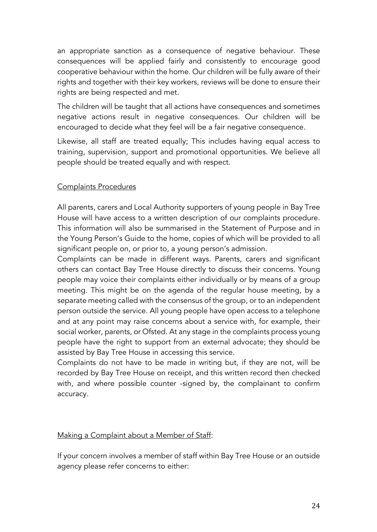an appropriate sanction as a consequence of negative behaviour. These consequences will be applied fairly and consistently to encourage good cooperative behaviour within the home. Our children will be fully aware of their rights and together with their key workers, reviews will be done to ensure their rights are being respected and met.

The children will be taught that all actions have consequences and sometimes negative actions result in negative consequences. Our children will be encouraged to decide what they feel will be a fair negative consequence.

Likewise, all staff are treated equally; This includes having equal access to training, supervision, support and promotional opportunities. We believe all people should be treated equally and with respect.

## Complaints Procedures

All parents, carers and Local Authority supporters of young people in Bay Tree House will have access to a written description of our complaints procedure. This information will also be summarised in the Statement of Purpose and in the Young Person's Guide to the home, copies of which will be provided to all significant people on, or prior to, a young person's admission.

Complaints can be made in different ways. Parents, carers and significant others can contact Bay Tree House directly to discuss their concerns. Young people may voice their complaints either individually or by means of a group meeting. This might be on the agenda of the regular house meeting, by a separate meeting called with the consensus of the group, or to an independent person outside the service. All young people have open access to a telephone and at any point may raise concerns about a service with, for example, their social worker, parents, or Ofsted. At any stage in the complaints process young people have the right to support from an external advocate; they should be assisted by Bay Tree House in accessing this service.

Complaints do not have to be made in writing but, if they are not, will be recorded by Bay Tree House on receipt, and this written record then checked with, and where possible counter -signed by, the complainant to confirm accuracy.

## Making a Complaint about a Member of Staff:

If your concern involves a member of staff within Bay Tree House or an outside agency please refer concerns to either: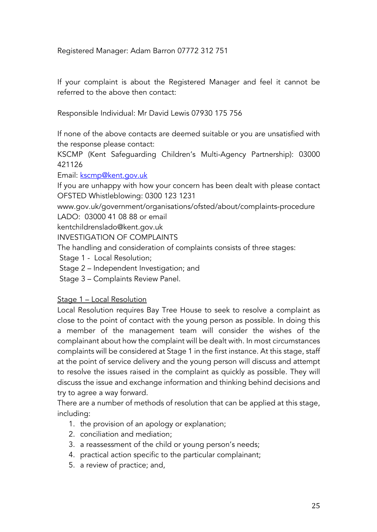Registered Manager: Adam Barron 07772 312 751

If your complaint is about the Registered Manager and feel it cannot be referred to the above then contact:

Responsible Individual: Mr David Lewis 07930 175 756

If none of the above contacts are deemed suitable or you are unsatisfied with the response please contact:

KSCMP (Kent Safeguarding Children's Multi-Agency Partnership): 03000 421126

Email: kscmp@kent.gov.uk

If you are unhappy with how your concern has been dealt with please contact OFSTED Whistleblowing: 0300 123 1231

www.gov.uk/government/organisations/ofsted/about/complaints-procedure LADO: 03000 41 08 88 or email

kentchildrenslado@kent.gov.uk

INVESTIGATION OF COMPLAINTS

The handling and consideration of complaints consists of three stages:

Stage 1 - Local Resolution;

Stage 2 – Independent Investigation; and

Stage 3 – Complaints Review Panel.

## Stage 1 – Local Resolution

Local Resolution requires Bay Tree House to seek to resolve a complaint as close to the point of contact with the young person as possible. In doing this a member of the management team will consider the wishes of the complainant about how the complaint will be dealt with. In most circumstances complaints will be considered at Stage 1 in the first instance. At this stage, staff at the point of service delivery and the young person will discuss and attempt to resolve the issues raised in the complaint as quickly as possible. They will discuss the issue and exchange information and thinking behind decisions and try to agree a way forward.

There are a number of methods of resolution that can be applied at this stage, including:

- 1. the provision of an apology or explanation;
- 2. conciliation and mediation;
- 3. a reassessment of the child or young person's needs;
- 4. practical action specific to the particular complainant;
- 5. a review of practice; and,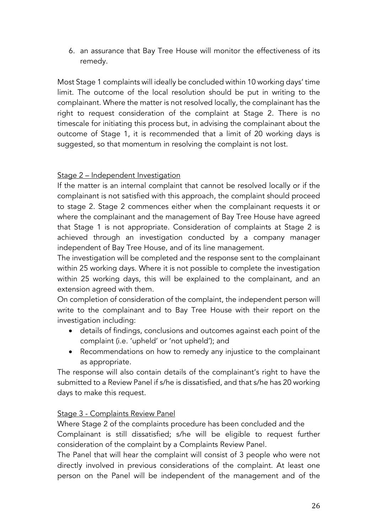6. an assurance that Bay Tree House will monitor the effectiveness of its remedy.

Most Stage 1 complaints will ideally be concluded within 10 working days' time limit. The outcome of the local resolution should be put in writing to the complainant. Where the matter is not resolved locally, the complainant has the right to request consideration of the complaint at Stage 2. There is no timescale for initiating this process but, in advising the complainant about the outcome of Stage 1, it is recommended that a limit of 20 working days is suggested, so that momentum in resolving the complaint is not lost.

## Stage 2 – Independent Investigation

If the matter is an internal complaint that cannot be resolved locally or if the complainant is not satisfied with this approach, the complaint should proceed to stage 2. Stage 2 commences either when the complainant requests it or where the complainant and the management of Bay Tree House have agreed that Stage 1 is not appropriate. Consideration of complaints at Stage 2 is achieved through an investigation conducted by a company manager independent of Bay Tree House, and of its line management.

The investigation will be completed and the response sent to the complainant within 25 working days. Where it is not possible to complete the investigation within 25 working days, this will be explained to the complainant, and an extension agreed with them.

On completion of consideration of the complaint, the independent person will write to the complainant and to Bay Tree House with their report on the investigation including:

- details of findings, conclusions and outcomes against each point of the complaint (i.e. 'upheld' or 'not upheld'); and
- Recommendations on how to remedy any injustice to the complainant as appropriate.

The response will also contain details of the complainant's right to have the submitted to a Review Panel if s/he is dissatisfied, and that s/he has 20 working days to make this request.

## Stage 3 - Complaints Review Panel

Where Stage 2 of the complaints procedure has been concluded and the Complainant is still dissatisfied; s/he will be eligible to request further consideration of the complaint by a Complaints Review Panel.

The Panel that will hear the complaint will consist of 3 people who were not directly involved in previous considerations of the complaint. At least one person on the Panel will be independent of the management and of the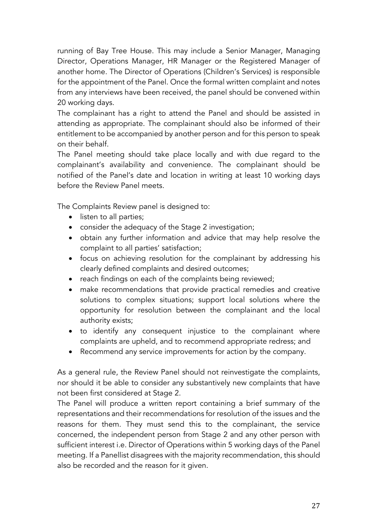running of Bay Tree House. This may include a Senior Manager, Managing Director, Operations Manager, HR Manager or the Registered Manager of another home. The Director of Operations (Children's Services) is responsible for the appointment of the Panel. Once the formal written complaint and notes from any interviews have been received, the panel should be convened within 20 working days.

The complainant has a right to attend the Panel and should be assisted in attending as appropriate. The complainant should also be informed of their entitlement to be accompanied by another person and for this person to speak on their behalf.

The Panel meeting should take place locally and with due regard to the complainant's availability and convenience. The complainant should be notified of the Panel's date and location in writing at least 10 working days before the Review Panel meets.

The Complaints Review panel is designed to:

- listen to all parties;
- consider the adequacy of the Stage 2 investigation;
- obtain any further information and advice that may help resolve the complaint to all parties' satisfaction;
- focus on achieving resolution for the complainant by addressing his clearly defined complaints and desired outcomes;
- reach findings on each of the complaints being reviewed;
- make recommendations that provide practical remedies and creative solutions to complex situations; support local solutions where the opportunity for resolution between the complainant and the local authority exists;
- to identify any consequent injustice to the complainant where complaints are upheld, and to recommend appropriate redress; and
- Recommend any service improvements for action by the company.

As a general rule, the Review Panel should not reinvestigate the complaints, nor should it be able to consider any substantively new complaints that have not been first considered at Stage 2.

The Panel will produce a written report containing a brief summary of the representations and their recommendations for resolution of the issues and the reasons for them. They must send this to the complainant, the service concerned, the independent person from Stage 2 and any other person with sufficient interest i.e. Director of Operations within 5 working days of the Panel meeting. If a Panellist disagrees with the majority recommendation, this should also be recorded and the reason for it given.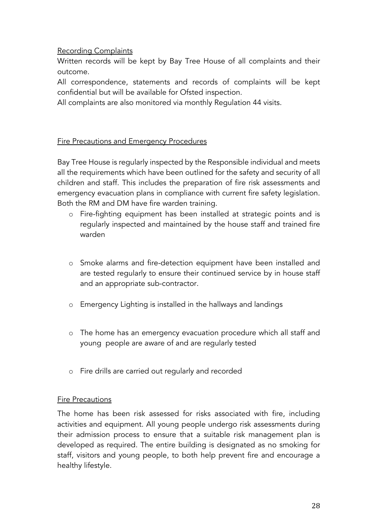## Recording Complaints

Written records will be kept by Bay Tree House of all complaints and their outcome.

All correspondence, statements and records of complaints will be kept confidential but will be available for Ofsted inspection.

All complaints are also monitored via monthly Regulation 44 visits.

## Fire Precautions and Emergency Procedures

Bay Tree House is regularly inspected by the Responsible individual and meets all the requirements which have been outlined for the safety and security of all children and staff. This includes the preparation of fire risk assessments and emergency evacuation plans in compliance with current fire safety legislation. Both the RM and DM have fire warden training.

- o Fire-fighting equipment has been installed at strategic points and is regularly inspected and maintained by the house staff and trained fire warden
- o Smoke alarms and fire-detection equipment have been installed and are tested regularly to ensure their continued service by in house staff and an appropriate sub-contractor.
- o Emergency Lighting is installed in the hallways and landings
- o The home has an emergency evacuation procedure which all staff and young people are aware of and are regularly tested
- o Fire drills are carried out regularly and recorded

## Fire Precautions

The home has been risk assessed for risks associated with fire, including activities and equipment. All young people undergo risk assessments during their admission process to ensure that a suitable risk management plan is developed as required. The entire building is designated as no smoking for staff, visitors and young people, to both help prevent fire and encourage a healthy lifestyle.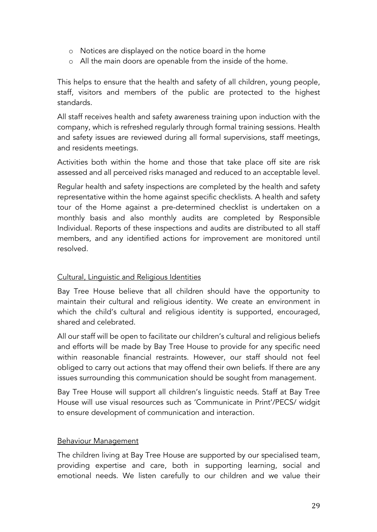- o Notices are displayed on the notice board in the home
- o All the main doors are openable from the inside of the home.

This helps to ensure that the health and safety of all children, young people, staff, visitors and members of the public are protected to the highest standards.

All staff receives health and safety awareness training upon induction with the company, which is refreshed regularly through formal training sessions. Health and safety issues are reviewed during all formal supervisions, staff meetings, and residents meetings.

Activities both within the home and those that take place off site are risk assessed and all perceived risks managed and reduced to an acceptable level.

Regular health and safety inspections are completed by the health and safety representative within the home against specific checklists. A health and safety tour of the Home against a pre-determined checklist is undertaken on a monthly basis and also monthly audits are completed by Responsible Individual. Reports of these inspections and audits are distributed to all staff members, and any identified actions for improvement are monitored until resolved.

## Cultural, Linguistic and Religious Identities

Bay Tree House believe that all children should have the opportunity to maintain their cultural and religious identity. We create an environment in which the child's cultural and religious identity is supported, encouraged, shared and celebrated.

All our staff will be open to facilitate our children's cultural and religious beliefs and efforts will be made by Bay Tree House to provide for any specific need within reasonable financial restraints. However, our staff should not feel obliged to carry out actions that may offend their own beliefs. If there are any issues surrounding this communication should be sought from management.

Bay Tree House will support all children's linguistic needs. Staff at Bay Tree House will use visual resources such as 'Communicate in Print'/PECS/ widgit to ensure development of communication and interaction.

## Behaviour Management

The children living at Bay Tree House are supported by our specialised team, providing expertise and care, both in supporting learning, social and emotional needs. We listen carefully to our children and we value their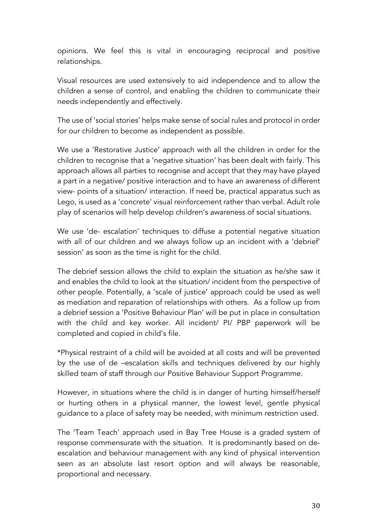opinions. We feel this is vital in encouraging reciprocal and positive relationships.

Visual resources are used extensively to aid independence and to allow the children a sense of control, and enabling the children to communicate their needs independently and effectively.

The use of 'social stories' helps make sense of social rules and protocol in order for our children to become as independent as possible.

We use a 'Restorative Justice' approach with all the children in order for the children to recognise that a 'negative situation' has been dealt with fairly. This approach allows all parties to recognise and accept that they may have played a part in a negative/ positive interaction and to have an awareness of different view- points of a situation/ interaction. If need be, practical apparatus such as Lego, is used as a 'concrete' visual reinforcement rather than verbal. Adult role play of scenarios will help develop children's awareness of social situations.

We use 'de- escalation' techniques to diffuse a potential negative situation with all of our children and we always follow up an incident with a 'debrief' session' as soon as the time is right for the child.

The debrief session allows the child to explain the situation as he/she saw it and enables the child to look at the situation/ incident from the perspective of other people. Potentially, a 'scale of justice' approach could be used as well as mediation and reparation of relationships with others. As a follow up from a debrief session a 'Positive Behaviour Plan' will be put in place in consultation with the child and key worker. All incident/ PI/ PBP paperwork will be completed and copied in child's file.

\*Physical restraint of a child will be avoided at all costs and will be prevented by the use of de –escalation skills and techniques delivered by our highly skilled team of staff through our Positive Behaviour Support Programme.

However, in situations where the child is in danger of hurting himself/herself or hurting others in a physical manner, the lowest level, gentle physical guidance to a place of safety may be needed, with minimum restriction used.

The 'Team Teach' approach used in Bay Tree House is a graded system of response commensurate with the situation. It is predominantly based on deescalation and behaviour management with any kind of physical intervention seen as an absolute last resort option and will always be reasonable, proportional and necessary.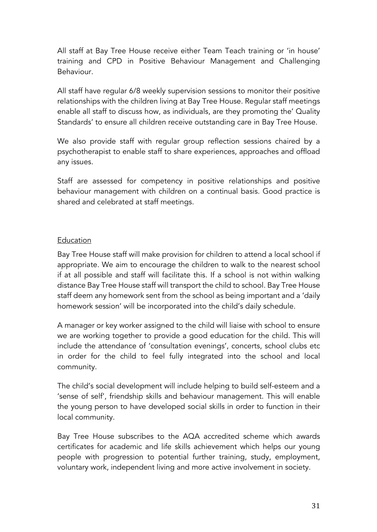All staff at Bay Tree House receive either Team Teach training or 'in house' training and CPD in Positive Behaviour Management and Challenging Behaviour.

All staff have regular 6/8 weekly supervision sessions to monitor their positive relationships with the children living at Bay Tree House. Regular staff meetings enable all staff to discuss how, as individuals, are they promoting the' Quality Standards' to ensure all children receive outstanding care in Bay Tree House.

We also provide staff with regular group reflection sessions chaired by a psychotherapist to enable staff to share experiences, approaches and offload any issues.

Staff are assessed for competency in positive relationships and positive behaviour management with children on a continual basis. Good practice is shared and celebrated at staff meetings.

## Education

Bay Tree House staff will make provision for children to attend a local school if appropriate. We aim to encourage the children to walk to the nearest school if at all possible and staff will facilitate this. If a school is not within walking distance Bay Tree House staff will transport the child to school. Bay Tree House staff deem any homework sent from the school as being important and a 'daily homework session' will be incorporated into the child's daily schedule.

A manager or key worker assigned to the child will liaise with school to ensure we are working together to provide a good education for the child. This will include the attendance of 'consultation evenings', concerts, school clubs etc in order for the child to feel fully integrated into the school and local community.

The child's social development will include helping to build self-esteem and a 'sense of self', friendship skills and behaviour management. This will enable the young person to have developed social skills in order to function in their local community.

Bay Tree House subscribes to the AQA accredited scheme which awards certificates for academic and life skills achievement which helps our young people with progression to potential further training, study, employment, voluntary work, independent living and more active involvement in society.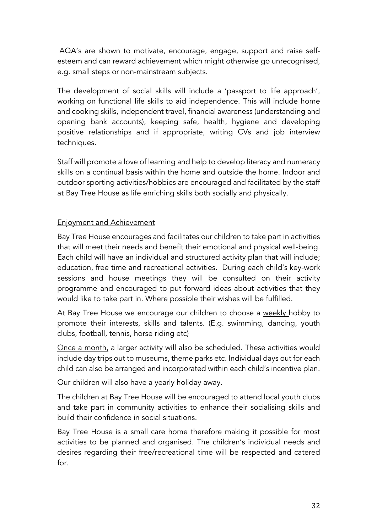AQA's are shown to motivate, encourage, engage, support and raise selfesteem and can reward achievement which might otherwise go unrecognised, e.g. small steps or non-mainstream subjects.

The development of social skills will include a 'passport to life approach', working on functional life skills to aid independence. This will include home and cooking skills, independent travel, financial awareness (understanding and opening bank accounts), keeping safe, health, hygiene and developing positive relationships and if appropriate, writing CVs and job interview techniques.

Staff will promote a love of learning and help to develop literacy and numeracy skills on a continual basis within the home and outside the home. Indoor and outdoor sporting activities/hobbies are encouraged and facilitated by the staff at Bay Tree House as life enriching skills both socially and physically.

## Enjoyment and Achievement

Bay Tree House encourages and facilitates our children to take part in activities that will meet their needs and benefit their emotional and physical well-being. Each child will have an individual and structured activity plan that will include; education, free time and recreational activities. During each child's key-work sessions and house meetings they will be consulted on their activity programme and encouraged to put forward ideas about activities that they would like to take part in. Where possible their wishes will be fulfilled.

At Bay Tree House we encourage our children to choose a weekly hobby to promote their interests, skills and talents. (E.g. swimming, dancing, youth clubs, football, tennis, horse riding etc)

Once a month, a larger activity will also be scheduled. These activities would include day trips out to museums, theme parks etc. Individual days out for each child can also be arranged and incorporated within each child's incentive plan.

Our children will also have a yearly holiday away.

The children at Bay Tree House will be encouraged to attend local youth clubs and take part in community activities to enhance their socialising skills and build their confidence in social situations.

Bay Tree House is a small care home therefore making it possible for most activities to be planned and organised. The children's individual needs and desires regarding their free/recreational time will be respected and catered for.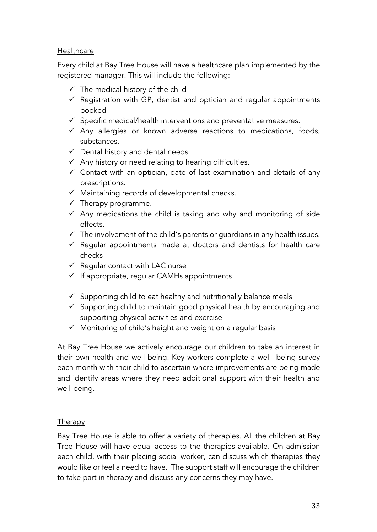## **Healthcare**

Every child at Bay Tree House will have a healthcare plan implemented by the registered manager. This will include the following:

- $\checkmark$  The medical history of the child
- $\checkmark$  Registration with GP, dentist and optician and regular appointments booked
- $\checkmark$  Specific medical/health interventions and preventative measures.
- $\checkmark$  Any allergies or known adverse reactions to medications, foods, substances.
- $\checkmark$  Dental history and dental needs.
- $\checkmark$  Any history or need relating to hearing difficulties.
- $\checkmark$  Contact with an optician, date of last examination and details of any prescriptions.
- $\checkmark$  Maintaining records of developmental checks.
- $\checkmark$  Therapy programme.
- $\checkmark$  Any medications the child is taking and why and monitoring of side effects.
- $\checkmark$  The involvement of the child's parents or guardians in any health issues.
- $\checkmark$  Regular appointments made at doctors and dentists for health care checks
- $\checkmark$  Reqular contact with LAC nurse
- $\checkmark$  If appropriate, regular CAMHs appointments
- $\checkmark$  Supporting child to eat healthy and nutritionally balance meals
- $\checkmark$  Supporting child to maintain good physical health by encouraging and supporting physical activities and exercise
- $\checkmark$  Monitoring of child's height and weight on a regular basis

At Bay Tree House we actively encourage our children to take an interest in their own health and well-being. Key workers complete a well -being survey each month with their child to ascertain where improvements are being made and identify areas where they need additional support with their health and well-being.

## **Therapy**

Bay Tree House is able to offer a variety of therapies. All the children at Bay Tree House will have equal access to the therapies available. On admission each child, with their placing social worker, can discuss which therapies they would like or feel a need to have. The support staff will encourage the children to take part in therapy and discuss any concerns they may have.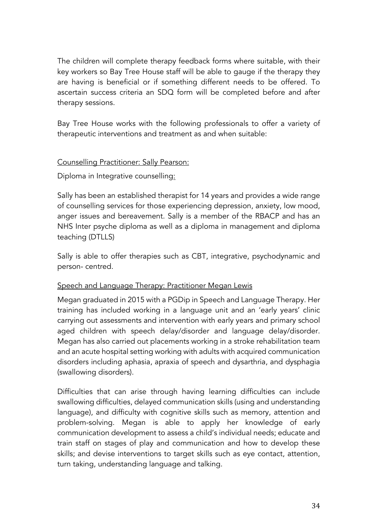The children will complete therapy feedback forms where suitable, with their key workers so Bay Tree House staff will be able to gauge if the therapy they are having is beneficial or if something different needs to be offered. To ascertain success criteria an SDQ form will be completed before and after therapy sessions.

Bay Tree House works with the following professionals to offer a variety of therapeutic interventions and treatment as and when suitable:

## Counselling Practitioner: Sally Pearson:

Diploma in Integrative counselling:

Sally has been an established therapist for 14 years and provides a wide range of counselling services for those experiencing depression, anxiety, low mood, anger issues and bereavement. Sally is a member of the RBACP and has an NHS Inter psyche diploma as well as a diploma in management and diploma teaching (DTLLS)

Sally is able to offer therapies such as CBT, integrative, psychodynamic and person- centred.

## Speech and Language Therapy: Practitioner Megan Lewis

Megan graduated in 2015 with a PGDip in Speech and Language Therapy. Her training has included working in a language unit and an 'early years' clinic carrying out assessments and intervention with early years and primary school aged children with speech delay/disorder and language delay/disorder. Megan has also carried out placements working in a stroke rehabilitation team and an acute hospital setting working with adults with acquired communication disorders including aphasia, apraxia of speech and dysarthria, and dysphagia (swallowing disorders).

Difficulties that can arise through having learning difficulties can include swallowing difficulties, delayed communication skills (using and understanding language), and difficulty with cognitive skills such as memory, attention and problem-solving. Megan is able to apply her knowledge of early communication development to assess a child's individual needs; educate and train staff on stages of play and communication and how to develop these skills; and devise interventions to target skills such as eye contact, attention, turn taking, understanding language and talking.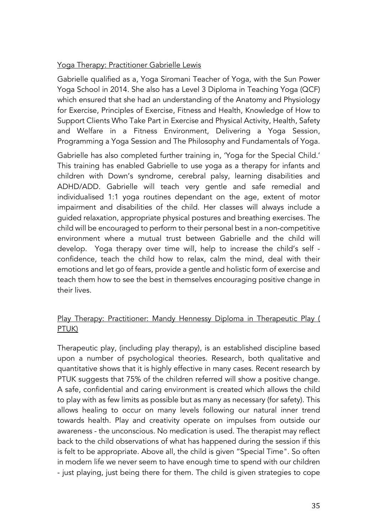## Yoga Therapy: Practitioner Gabrielle Lewis

Gabrielle qualified as a, Yoga Siromani Teacher of Yoga, with the Sun Power Yoga School in 2014. She also has a Level 3 Diploma in Teaching Yoga (QCF) which ensured that she had an understanding of the Anatomy and Physiology for Exercise, Principles of Exercise, Fitness and Health, Knowledge of How to Support Clients Who Take Part in Exercise and Physical Activity, Health, Safety and Welfare in a Fitness Environment, Delivering a Yoga Session, Programming a Yoga Session and The Philosophy and Fundamentals of Yoga.

Gabrielle has also completed further training in, 'Yoga for the Special Child.' This training has enabled Gabrielle to use yoga as a therapy for infants and children with Down's syndrome, cerebral palsy, learning disabilities and ADHD/ADD. Gabrielle will teach very gentle and safe remedial and individualised 1:1 yoga routines dependant on the age, extent of motor impairment and disabilities of the child. Her classes will always include a guided relaxation, appropriate physical postures and breathing exercises. The child will be encouraged to perform to their personal best in a non-competitive environment where a mutual trust between Gabrielle and the child will develop. Yoga therapy over time will, help to increase the child's self confidence, teach the child how to relax, calm the mind, deal with their emotions and let go of fears, provide a gentle and holistic form of exercise and teach them how to see the best in themselves encouraging positive change in their lives.

## Play Therapy: Practitioner: Mandy Hennessy Diploma in Therapeutic Play ( PTUK)

Therapeutic play, (including play therapy), is an established discipline based upon a number of psychological theories. Research, both qualitative and quantitative shows that it is highly effective in many cases. Recent research by PTUK suggests that 75% of the children referred will show a positive change. A safe, confidential and caring environment is created which allows the child to play with as few limits as possible but as many as necessary (for safety). This allows healing to occur on many levels following our natural inner trend towards health. Play and creativity operate on impulses from outside our awareness - the unconscious. No medication is used. The therapist may reflect back to the child observations of what has happened during the session if this is felt to be appropriate. Above all, the child is given "Special Time". So often in modern life we never seem to have enough time to spend with our children - just playing, just being there for them. The child is given strategies to cope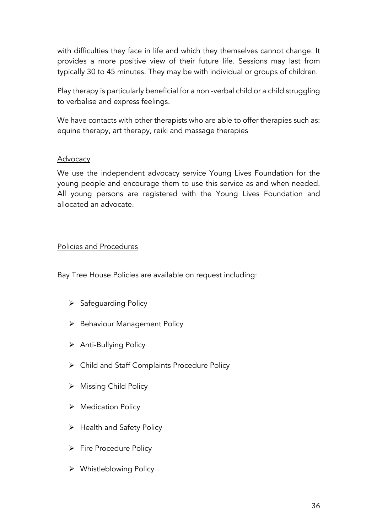with difficulties they face in life and which they themselves cannot change. It provides a more positive view of their future life. Sessions may last from typically 30 to 45 minutes. They may be with individual or groups of children.

Play therapy is particularly beneficial for a non -verbal child or a child struggling to verbalise and express feelings.

We have contacts with other therapists who are able to offer therapies such as: equine therapy, art therapy, reiki and massage therapies

#### Advocacy

We use the independent advocacy service Young Lives Foundation for the young people and encourage them to use this service as and when needed. All young persons are registered with the Young Lives Foundation and allocated an advocate.

#### Policies and Procedures

Bay Tree House Policies are available on request including:

- $\triangleright$  Safeguarding Policy
- Ø Behaviour Management Policy
- Ø Anti-Bullying Policy
- Ø Child and Staff Complaints Procedure Policy
- $\triangleright$  Missing Child Policy
- $\triangleright$  Medication Policy
- $\triangleright$  Health and Safety Policy
- $\triangleright$  Fire Procedure Policy
- $\triangleright$  Whistleblowing Policy